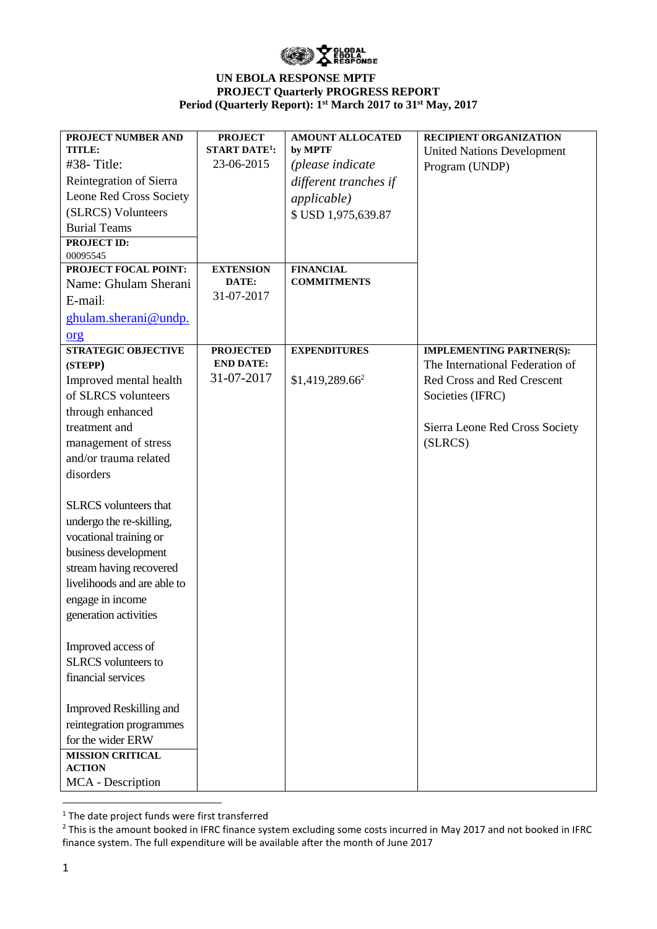

| PROJECT NUMBER AND             | <b>PROJECT</b>                  | <b>AMOUNT ALLOCATED</b>     | RECIPIENT ORGANIZATION            |
|--------------------------------|---------------------------------|-----------------------------|-----------------------------------|
| TITLE:                         | <b>START DATE<sup>1</sup></b> : | by MPTF                     | <b>United Nations Development</b> |
| $#38$ -Title:                  | 23-06-2015                      | (please indicate            | Program (UNDP)                    |
| Reintegration of Sierra        |                                 | different tranches if       |                                   |
| Leone Red Cross Society        |                                 | <i>applicable</i> )         |                                   |
| (SLRCS) Volunteers             |                                 | \$ USD 1,975,639.87         |                                   |
| <b>Burial Teams</b>            |                                 |                             |                                   |
| <b>PROJECT ID:</b><br>00095545 |                                 |                             |                                   |
| PROJECT FOCAL POINT:           | <b>EXTENSION</b>                | <b>FINANCIAL</b>            |                                   |
| Name: Ghulam Sherani           | DATE:                           | <b>COMMITMENTS</b>          |                                   |
| E-mail:                        | 31-07-2017                      |                             |                                   |
| ghulam.sherani@undp.           |                                 |                             |                                   |
| org                            |                                 |                             |                                   |
| <b>STRATEGIC OBJECTIVE</b>     | <b>PROJECTED</b>                | <b>EXPENDITURES</b>         | <b>IMPLEMENTING PARTNER(S):</b>   |
| (STEPP)                        | <b>END DATE:</b>                |                             | The International Federation of   |
| Improved mental health         | 31-07-2017                      | \$1,419,289.66 <sup>2</sup> | <b>Red Cross and Red Crescent</b> |
| of SLRCS volunteers            |                                 |                             | Societies (IFRC)                  |
| through enhanced               |                                 |                             |                                   |
| treatment and                  |                                 |                             | Sierra Leone Red Cross Society    |
| management of stress           |                                 |                             | (SLRCS)                           |
| and/or trauma related          |                                 |                             |                                   |
| disorders                      |                                 |                             |                                   |
|                                |                                 |                             |                                   |
| <b>SLRCS</b> volunteers that   |                                 |                             |                                   |
| undergo the re-skilling,       |                                 |                             |                                   |
| vocational training or         |                                 |                             |                                   |
| business development           |                                 |                             |                                   |
| stream having recovered        |                                 |                             |                                   |
| livelihoods and are able to    |                                 |                             |                                   |
| engage in income               |                                 |                             |                                   |
| generation activities          |                                 |                             |                                   |
|                                |                                 |                             |                                   |
| Improved access of             |                                 |                             |                                   |
| SLRCS volunteers to            |                                 |                             |                                   |
| financial services             |                                 |                             |                                   |
|                                |                                 |                             |                                   |
| <b>Improved Reskilling and</b> |                                 |                             |                                   |
| reintegration programmes       |                                 |                             |                                   |
| for the wider ERW              |                                 |                             |                                   |
| <b>MISSION CRITICAL</b>        |                                 |                             |                                   |
| <b>ACTION</b>                  |                                 |                             |                                   |
| MCA - Description              |                                 |                             |                                   |

<sup>&</sup>lt;sup>1</sup> The date project funds were first transferred

<sup>&</sup>lt;sup>2</sup> This is the amount booked in IFRC finance system excluding some costs incurred in May 2017 and not booked in IFRC finance system. The full expenditure will be available after the month of June 2017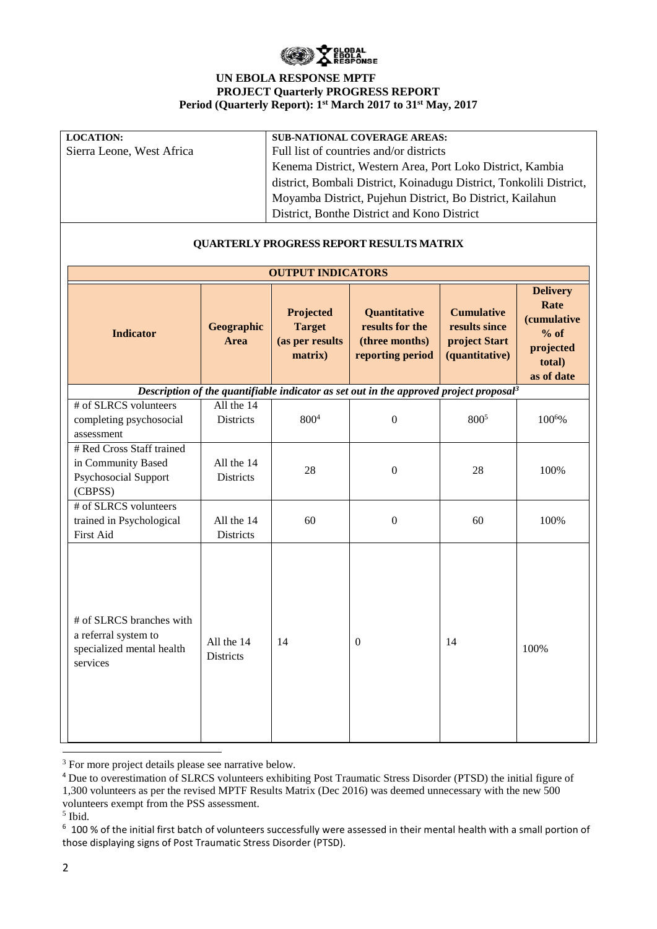

| <b>LOCATION:</b>          | <b>SUB-NATIONAL COVERAGE AREAS:</b>                                 |
|---------------------------|---------------------------------------------------------------------|
| Sierra Leone, West Africa | Full list of countries and/or districts                             |
|                           | Kenema District, Western Area, Port Loko District, Kambia           |
|                           | district, Bombali District, Koinadugu District, Tonkolili District, |
|                           | Moyamba District, Pujehun District, Bo District, Kailahun           |
|                           | District, Bonthe District and Kono District                         |

#### **QUARTERLY PROGRESS REPORT RESULTS MATRIX**

| <b>OUTPUT INDICATORS</b>                                                                  |                                  |                                                          |                                                                                                    |                                                                       |                                                                                               |  |  |
|-------------------------------------------------------------------------------------------|----------------------------------|----------------------------------------------------------|----------------------------------------------------------------------------------------------------|-----------------------------------------------------------------------|-----------------------------------------------------------------------------------------------|--|--|
| <b>Indicator</b>                                                                          | <b>Geographic</b><br><b>Area</b> | Projected<br><b>Target</b><br>(as per results<br>matrix) | Quantitative<br>results for the<br>(three months)<br>reporting period                              | <b>Cumulative</b><br>results since<br>project Start<br>(quantitative) | <b>Delivery</b><br>Rate<br><i>(cumulative)</i><br>$%$ of<br>projected<br>total)<br>as of date |  |  |
|                                                                                           |                                  |                                                          | Description of the quantifiable indicator as set out in the approved project proposal <sup>3</sup> |                                                                       |                                                                                               |  |  |
| # of SLRCS volunteers<br>completing psychosocial<br>assessment                            | All the 14<br><b>Districts</b>   | $800^{4}$                                                | $\mathbf{0}$                                                                                       | 800 <sup>5</sup>                                                      | 100%                                                                                          |  |  |
| # Red Cross Staff trained<br>in Community Based<br>Psychosocial Support<br>(CBPSS)        | All the 14<br><b>Districts</b>   | 28                                                       | $\boldsymbol{0}$                                                                                   | 28                                                                    | 100%                                                                                          |  |  |
| # of SLRCS volunteers<br>trained in Psychological<br><b>First Aid</b>                     | All the 14<br><b>Districts</b>   | 60                                                       | $\boldsymbol{0}$                                                                                   | 60                                                                    | 100%                                                                                          |  |  |
| # of SLRCS branches with<br>a referral system to<br>specialized mental health<br>services | All the 14<br><b>Districts</b>   | 14                                                       | $\Omega$                                                                                           | 14                                                                    | 100%                                                                                          |  |  |

<sup>&</sup>lt;sup>3</sup> For more project details please see narrative below.

<sup>4</sup> Due to overestimation of SLRCS volunteers exhibiting Post Traumatic Stress Disorder (PTSD) the initial figure of 1,300 volunteers as per the revised MPTF Results Matrix (Dec 2016) was deemed unnecessary with the new 500 volunteers exempt from the PSS assessment.

<sup>5</sup> Ibid.

<sup>6</sup> 100 % of the initial first batch of volunteers successfully were assessed in their mental health with a small portion of those displaying signs of Post Traumatic Stress Disorder (PTSD).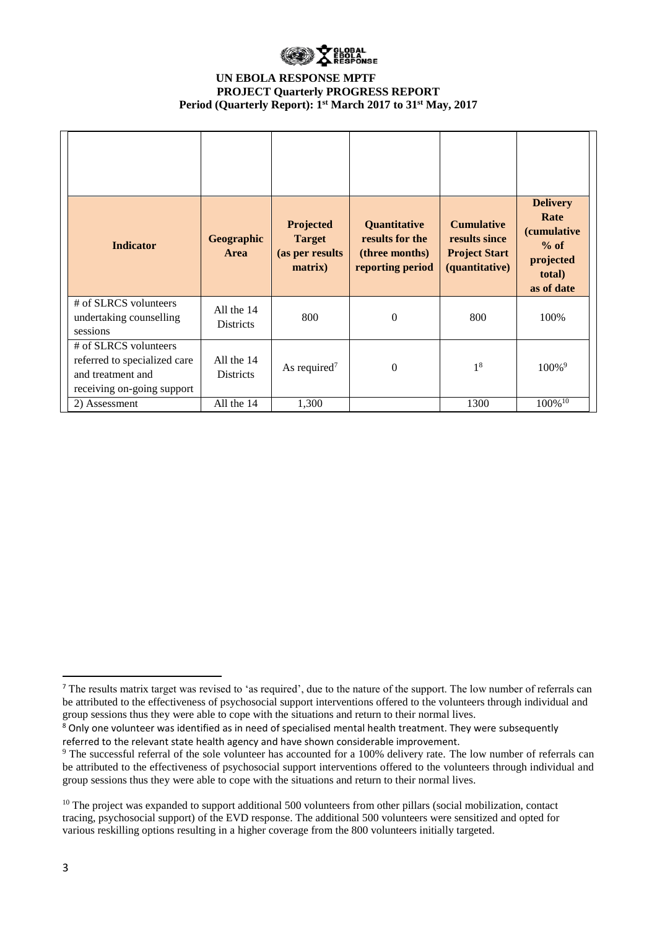

| <b>Indicator</b>                                                                                         | Geographic<br><b>Area</b>      | Projected<br><b>Target</b><br>(as per results<br>matrix) | Quantitative<br>results for the<br>(three months)<br>reporting period | <b>Cumulative</b><br>results since<br><b>Project Start</b><br>(quantitative) | <b>Delivery</b><br>Rate<br><i>(cumulative</i><br>$%$ of<br>projected<br>total)<br>as of date |
|----------------------------------------------------------------------------------------------------------|--------------------------------|----------------------------------------------------------|-----------------------------------------------------------------------|------------------------------------------------------------------------------|----------------------------------------------------------------------------------------------|
| # of SLRCS volunteers<br>undertaking counselling<br>sessions                                             | All the 14<br><b>Districts</b> | 800                                                      | $\overline{0}$                                                        | 800                                                                          | 100%                                                                                         |
| # of SLRCS volunteers<br>referred to specialized care<br>and treatment and<br>receiving on-going support | All the 14<br><b>Districts</b> | As required <sup>7</sup>                                 | $\Omega$                                                              | 1 <sup>8</sup>                                                               | $100\%$ <sup>9</sup>                                                                         |
| 2) Assessment                                                                                            | All the 14                     | 1,300                                                    |                                                                       | 1300                                                                         | $100\%$ <sup>10</sup>                                                                        |

<sup>&</sup>lt;sup>7</sup> The results matrix target was revised to 'as required', due to the nature of the support. The low number of referrals can be attributed to the effectiveness of psychosocial support interventions offered to the volunteers through individual and group sessions thus they were able to cope with the situations and return to their normal lives.

<sup>8</sup> Only one volunteer was identified as in need of specialised mental health treatment. They were subsequently referred to the relevant state health agency and have shown considerable improvement.

<sup>&</sup>lt;sup>9</sup> The successful referral of the sole volunteer has accounted for a 100% delivery rate. The low number of referrals can be attributed to the effectiveness of psychosocial support interventions offered to the volunteers through individual and group sessions thus they were able to cope with the situations and return to their normal lives.

 $10$  The project was expanded to support additional 500 volunteers from other pillars (social mobilization, contact tracing, psychosocial support) of the EVD response. The additional 500 volunteers were sensitized and opted for various reskilling options resulting in a higher coverage from the 800 volunteers initially targeted.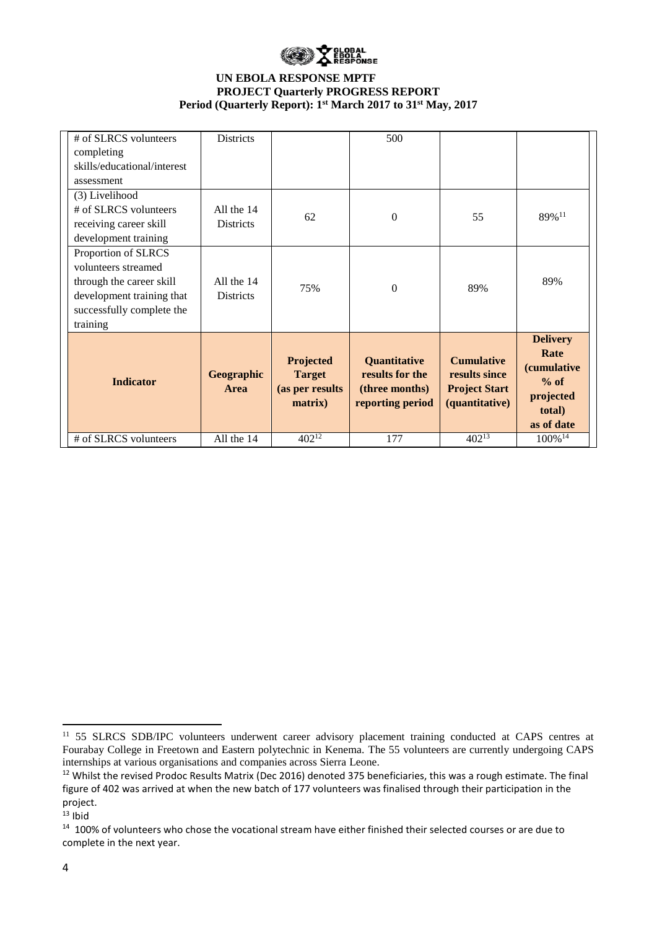

| <b>Indicator</b><br># of SLRCS volunteers                                                                                                            | Geographic<br><b>Area</b><br>All the 14 | Projected<br><b>Target</b><br>(as per results)<br>matrix)<br>$402^{12}$ | Quantitative<br>results for the<br>(three months)<br>reporting period<br>177 | <b>Cumulative</b><br>results since<br><b>Project Start</b><br>(quantitative)<br>$402^{13}$ | <b>Delivery</b><br>Rate<br><i>(cumulative</i><br>$%$ of<br>projected<br>total)<br>as of date<br>100% <sup>14</sup> |
|------------------------------------------------------------------------------------------------------------------------------------------------------|-----------------------------------------|-------------------------------------------------------------------------|------------------------------------------------------------------------------|--------------------------------------------------------------------------------------------|--------------------------------------------------------------------------------------------------------------------|
| Proportion of SLRCS<br>volunteers streamed<br>through the career skill<br>development training that<br>successfully complete the<br>training         | All the 14<br><b>Districts</b>          | 75%                                                                     | $\mathbf{0}$                                                                 | 89%                                                                                        | 89%                                                                                                                |
| completing<br>skills/educational/interest<br>assessment<br>(3) Livelihood<br># of SLRCS volunteers<br>receiving career skill<br>development training | All the 14<br><b>Districts</b>          | 62                                                                      | $\mathbf{0}$                                                                 | 55                                                                                         | 89%11                                                                                                              |
| # of SLRCS volunteers                                                                                                                                | <b>Districts</b>                        |                                                                         | 500                                                                          |                                                                                            |                                                                                                                    |

 $13$  Ibid

**<sup>.</sup>** <sup>11</sup> 55 SLRCS SDB/IPC volunteers underwent career advisory placement training conducted at CAPS centres at Fourabay College in Freetown and Eastern polytechnic in Kenema. The 55 volunteers are currently undergoing CAPS internships at various organisations and companies across Sierra Leone.

<sup>&</sup>lt;sup>12</sup> Whilst the revised Prodoc Results Matrix (Dec 2016) denoted 375 beneficiaries, this was a rough estimate. The final figure of 402 was arrived at when the new batch of 177 volunteers was finalised through their participation in the project.

<sup>&</sup>lt;sup>14</sup> 100% of volunteers who chose the vocational stream have either finished their selected courses or are due to complete in the next year.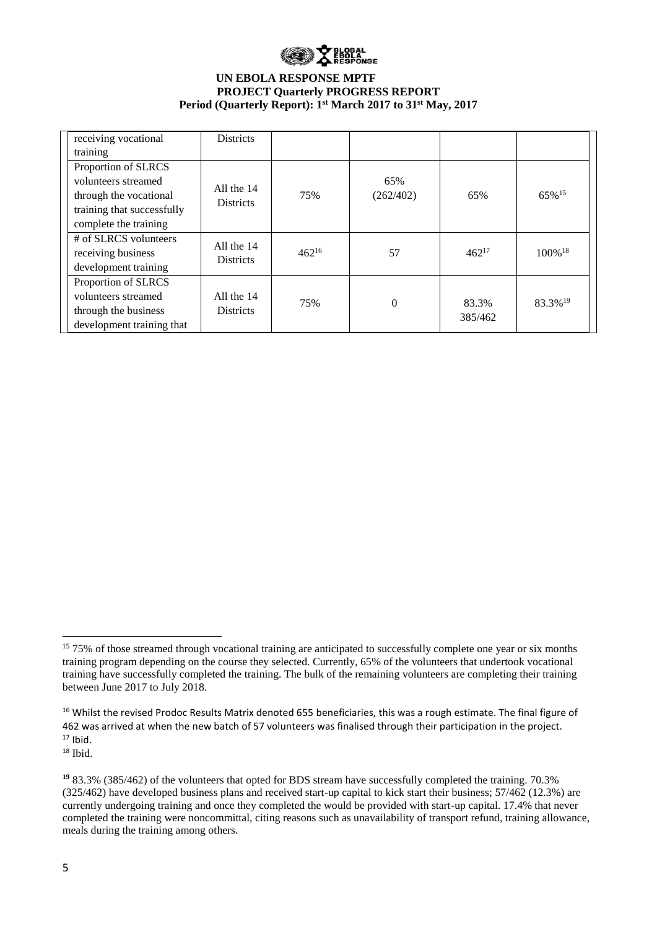

| receiving vocational       | <b>Districts</b> |            |           |            |                       |  |
|----------------------------|------------------|------------|-----------|------------|-----------------------|--|
| training                   |                  |            |           |            |                       |  |
| Proportion of SLRCS        |                  |            |           |            |                       |  |
| volunteers streamed        | All the 14       |            | 65%       |            |                       |  |
| through the vocational     | <b>Districts</b> | 75%        | (262/402) | 65%        | $65\%$ <sup>15</sup>  |  |
| training that successfully |                  |            |           |            |                       |  |
| complete the training      |                  |            |           |            |                       |  |
| # of SLRCS volunteers      | All the 14       |            |           |            |                       |  |
| receiving business         | <b>Districts</b> | $462^{16}$ | 57        | $462^{17}$ | $100\%$ <sup>18</sup> |  |
| development training       |                  |            |           |            |                       |  |
| Proportion of SLRCS        |                  |            |           |            |                       |  |
| volunteers streamed        | All the 14       | 75%        | $\Omega$  | 83.3%      | 83.3%19               |  |
| through the business       | <b>Districts</b> |            |           |            |                       |  |
| development training that  |                  |            |           | 385/462    |                       |  |

 $18$  Ibid.

 $15,75\%$  of those streamed through vocational training are anticipated to successfully complete one year or six months training program depending on the course they selected. Currently, 65% of the volunteers that undertook vocational training have successfully completed the training. The bulk of the remaining volunteers are completing their training between June 2017 to July 2018.

<sup>&</sup>lt;sup>16</sup> Whilst the revised Prodoc Results Matrix denoted 655 beneficiaries, this was a rough estimate. The final figure of 462 was arrived at when the new batch of 57 volunteers was finalised through their participation in the project.  $17$  Ibid.

**<sup>19</sup>** 83.3% (385/462) of the volunteers that opted for BDS stream have successfully completed the training. 70.3% (325/462) have developed business plans and received start-up capital to kick start their business; 57/462 (12.3%) are currently undergoing training and once they completed the would be provided with start-up capital. 17.4% that never completed the training were noncommittal, citing reasons such as unavailability of transport refund, training allowance, meals during the training among others.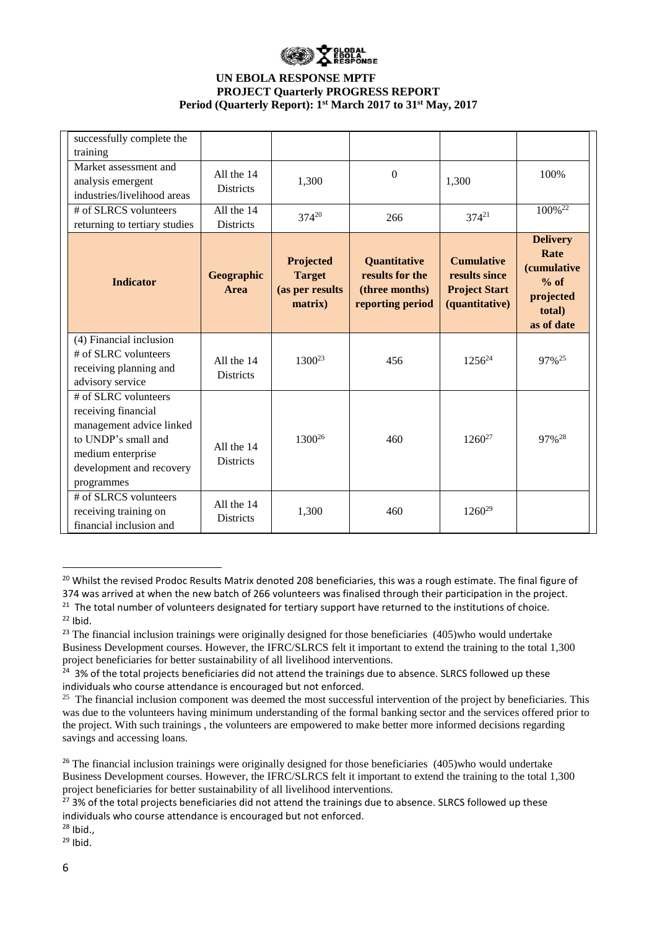

| successfully complete the<br>training                                                                                                                         |                                |                                                          |                                                                              |                                                                              |                                                                                              |
|---------------------------------------------------------------------------------------------------------------------------------------------------------------|--------------------------------|----------------------------------------------------------|------------------------------------------------------------------------------|------------------------------------------------------------------------------|----------------------------------------------------------------------------------------------|
| Market assessment and<br>analysis emergent<br>industries/livelihood areas                                                                                     | All the 14<br><b>Districts</b> | 1,300                                                    | $\theta$                                                                     | 1,300                                                                        | 100%                                                                                         |
| # of SLRCS volunteers<br>returning to tertiary studies                                                                                                        | All the 14<br><b>Districts</b> | $374^{20}$                                               | 266                                                                          | $374^{21}$                                                                   | 100% <sup>22</sup>                                                                           |
| <b>Indicator</b>                                                                                                                                              | Geographic<br>Area             | Projected<br><b>Target</b><br>(as per results<br>matrix) | <b>Quantitative</b><br>results for the<br>(three months)<br>reporting period | <b>Cumulative</b><br>results since<br><b>Project Start</b><br>(quantitative) | <b>Delivery</b><br>Rate<br><i>(cumulative</i><br>$%$ of<br>projected<br>total)<br>as of date |
| (4) Financial inclusion<br># of SLRC volunteers<br>receiving planning and<br>advisory service                                                                 | All the 14<br><b>Districts</b> | 1300 <sup>23</sup>                                       | 456                                                                          | $1256^{24}$                                                                  | 97%25                                                                                        |
| # of SLRC volunteers<br>receiving financial<br>management advice linked<br>to UNDP's small and<br>medium enterprise<br>development and recovery<br>programmes | All the 14<br><b>Districts</b> | 1300 <sup>26</sup>                                       | 460                                                                          | $1260^{27}$                                                                  | 97% <sup>28</sup>                                                                            |
| # of SLRCS volunteers<br>receiving training on<br>financial inclusion and                                                                                     | All the 14<br><b>Districts</b> | 1,300                                                    | 460                                                                          | $1260^{29}$                                                                  |                                                                                              |

<sup>&</sup>lt;sup>20</sup> Whilst the revised Prodoc Results Matrix denoted 208 beneficiaries, this was a rough estimate. The final figure of 374 was arrived at when the new batch of 266 volunteers was finalised through their participation in the project.

 $\overline{a}$ 

<sup>&</sup>lt;sup>21</sup> The total number of volunteers designated for tertiary support have returned to the institutions of choice.  $22$  Ibid.

<sup>&</sup>lt;sup>23</sup> The financial inclusion trainings were originally designed for those beneficiaries (405)who would undertake Business Development courses. However, the IFRC/SLRCS felt it important to extend the training to the total 1,300 project beneficiaries for better sustainability of all livelihood interventions.

<sup>&</sup>lt;sup>24</sup> 3% of the total projects beneficiaries did not attend the trainings due to absence. SLRCS followed up these individuals who course attendance is encouraged but not enforced.

 $25$  The financial inclusion component was deemed the most successful intervention of the project by beneficiaries. This was due to the volunteers having minimum understanding of the formal banking sector and the services offered prior to the project. With such trainings , the volunteers are empowered to make better more informed decisions regarding savings and accessing loans.

<sup>&</sup>lt;sup>26</sup> The financial inclusion trainings were originally designed for those beneficiaries (405)who would undertake Business Development courses. However, the IFRC/SLRCS felt it important to extend the training to the total 1,300 project beneficiaries for better sustainability of all livelihood interventions.

<sup>&</sup>lt;sup>27</sup> 3% of the total projects beneficiaries did not attend the trainings due to absence. SLRCS followed up these individuals who course attendance is encouraged but not enforced.

<sup>28</sup> Ibid.,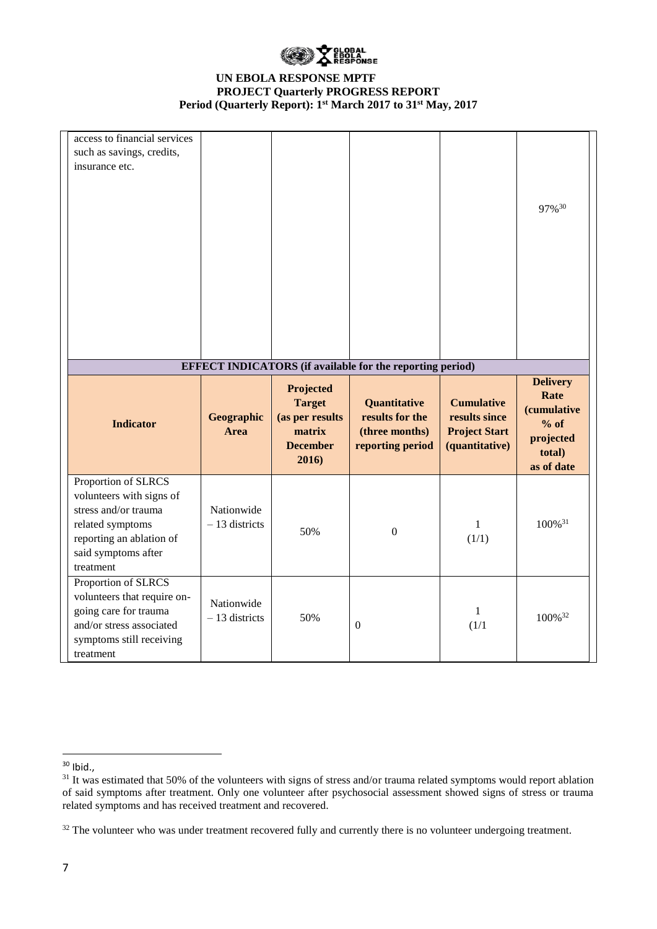

| access to financial services<br>such as savings, credits,<br>insurance etc.                                                                                                        |                               |                                                                                     |                                                                       |                                                                              | 97%30                                                       |
|------------------------------------------------------------------------------------------------------------------------------------------------------------------------------------|-------------------------------|-------------------------------------------------------------------------------------|-----------------------------------------------------------------------|------------------------------------------------------------------------------|-------------------------------------------------------------|
|                                                                                                                                                                                    |                               |                                                                                     | <b>EFFECT INDICATORS</b> (if available for the reporting period)      |                                                                              | <b>Delivery</b>                                             |
| <b>Indicator</b>                                                                                                                                                                   | Geographic<br><b>Area</b>     | Projected<br><b>Target</b><br>(as per results<br>matrix<br><b>December</b><br>2016) | Quantitative<br>results for the<br>(three months)<br>reporting period | <b>Cumulative</b><br>results since<br><b>Project Start</b><br>(quantitative) | Rate<br><i>(cumulative</i><br>$%$ of<br>projected<br>total) |
|                                                                                                                                                                                    |                               |                                                                                     |                                                                       |                                                                              | as of date                                                  |
| Proportion of SLRCS<br>volunteers with signs of<br>stress and/or trauma<br>related symptoms<br>reporting an ablation of<br>said symptoms after<br>treatment<br>Proportion of SLRCS | Nationwide<br>$-13$ districts | 50%                                                                                 | $\mathbf{0}$                                                          | $\mathbf{1}$<br>(1/1)                                                        | 100% <sup>31</sup>                                          |

 $30$  Ibid.,

<sup>&</sup>lt;sup>31</sup> It was estimated that 50% of the volunteers with signs of stress and/or trauma related symptoms would report ablation of said symptoms after treatment. Only one volunteer after psychosocial assessment showed signs of stress or trauma related symptoms and has received treatment and recovered.

 $32$  The volunteer who was under treatment recovered fully and currently there is no volunteer undergoing treatment.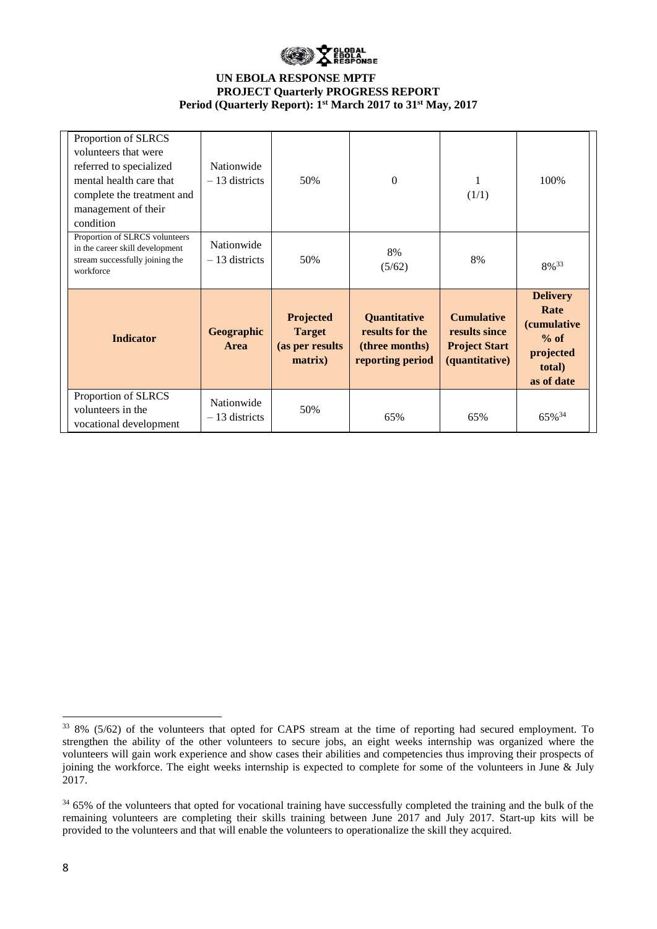

| Proportion of SLRCS<br>volunteers that were<br>referred to specialized<br>mental health care that<br>complete the treatment and<br>management of their<br>condition | Nationwide<br>$-13$ districts | 50%                                                      | $\theta$                                                                     | 1<br>(1/1)                                                                   | 100\%                                                                                        |
|---------------------------------------------------------------------------------------------------------------------------------------------------------------------|-------------------------------|----------------------------------------------------------|------------------------------------------------------------------------------|------------------------------------------------------------------------------|----------------------------------------------------------------------------------------------|
| Proportion of SLRCS volunteers<br>in the career skill development<br>stream successfully joining the<br>workforce                                                   | Nationwide<br>$-13$ districts | 50%                                                      | 8%<br>(5/62)                                                                 | 8%                                                                           | 8% <sup>33</sup>                                                                             |
| <b>Indicator</b>                                                                                                                                                    | Geographic<br>Area            | Projected<br><b>Target</b><br>(as per results<br>matrix) | <b>Quantitative</b><br>results for the<br>(three months)<br>reporting period | <b>Cumulative</b><br>results since<br><b>Project Start</b><br>(quantitative) | <b>Delivery</b><br>Rate<br><i>(cumulative</i><br>$%$ of<br>projected<br>total)<br>as of date |
| Proportion of SLRCS<br>volunteers in the<br>vocational development                                                                                                  | Nationwide<br>$-13$ districts | 50%                                                      | 65%                                                                          | 65%                                                                          | 65% <sup>34</sup>                                                                            |

<sup>&</sup>lt;sup>33</sup> 8% (5/62) of the volunteers that opted for CAPS stream at the time of reporting had secured employment. To strengthen the ability of the other volunteers to secure jobs, an eight weeks internship was organized where the volunteers will gain work experience and show cases their abilities and competencies thus improving their prospects of joining the workforce. The eight weeks internship is expected to complete for some of the volunteers in June & July 2017.

 $34\,65\%$  of the volunteers that opted for vocational training have successfully completed the training and the bulk of the remaining volunteers are completing their skills training between June 2017 and July 2017. Start-up kits will be provided to the volunteers and that will enable the volunteers to operationalize the skill they acquired.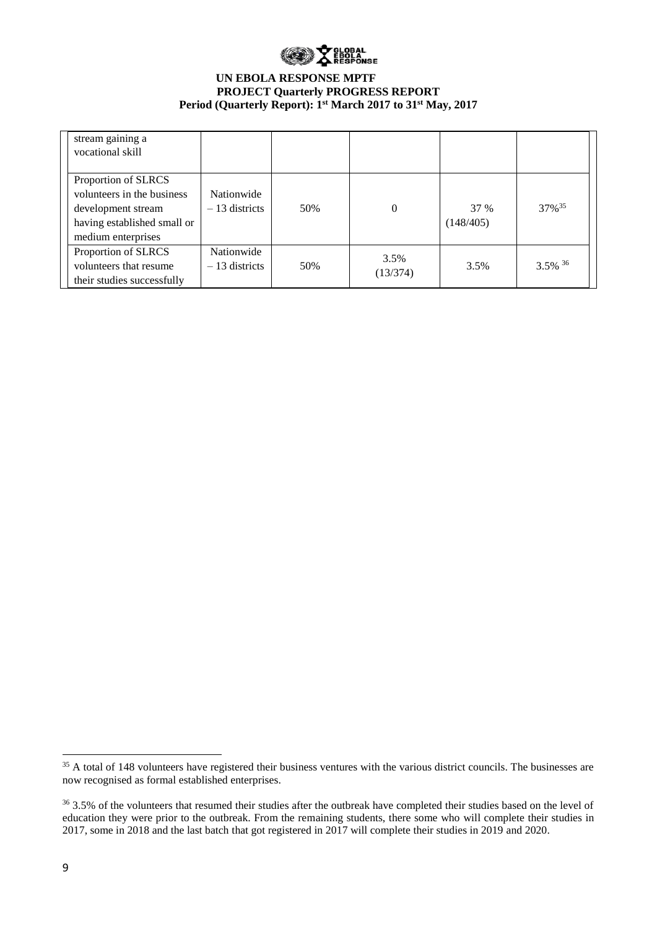

| stream gaining a<br>vocational skill                                                                                         |                               |     |                  |                   |                      |
|------------------------------------------------------------------------------------------------------------------------------|-------------------------------|-----|------------------|-------------------|----------------------|
| Proportion of SLRCS<br>volunteers in the business<br>development stream<br>having established small or<br>medium enterprises | Nationwide<br>$-13$ districts | 50% | 0                | 37 %<br>(148/405) | $37\%$ <sup>35</sup> |
| Proportion of SLRCS<br>volunteers that resume<br>their studies successfully                                                  | Nationwide<br>$-13$ districts | 50% | 3.5%<br>(13/374) | 3.5%              | $3.5\%$ 36           |

 $35$  A total of 148 volunteers have registered their business ventures with the various district councils. The businesses are now recognised as formal established enterprises.

<sup>&</sup>lt;sup>36</sup> 3.5% of the volunteers that resumed their studies after the outbreak have completed their studies based on the level of education they were prior to the outbreak. From the remaining students, there some who will complete their studies in 2017, some in 2018 and the last batch that got registered in 2017 will complete their studies in 2019 and 2020.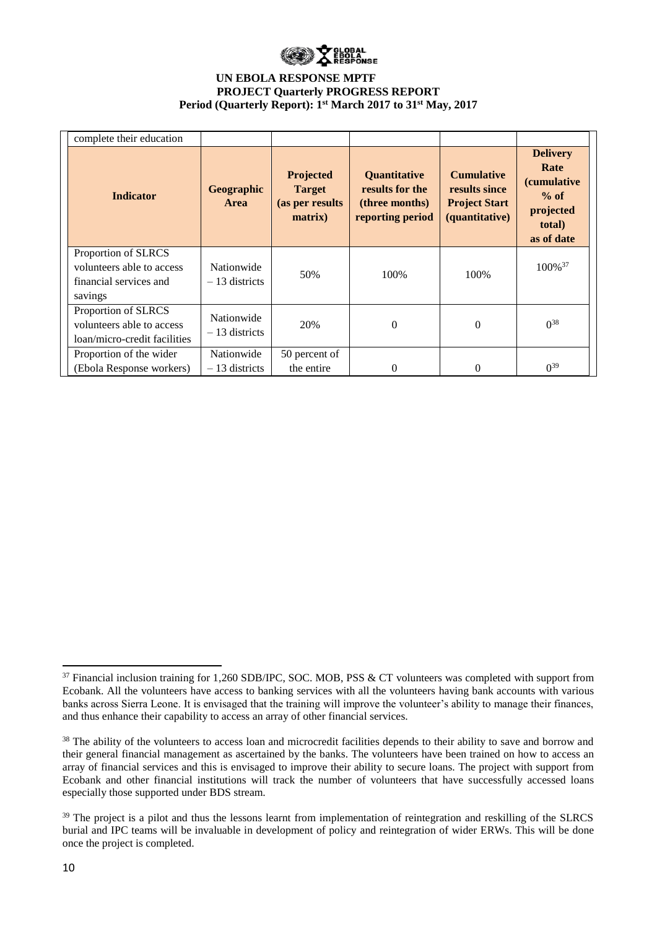

| complete their education                                                              |                               |                                                           |                                                                       |                                                                              |                                                                                               |
|---------------------------------------------------------------------------------------|-------------------------------|-----------------------------------------------------------|-----------------------------------------------------------------------|------------------------------------------------------------------------------|-----------------------------------------------------------------------------------------------|
| <b>Indicator</b>                                                                      | Geographic<br><b>Area</b>     | Projected<br><b>Target</b><br>(as per results)<br>matrix) | Quantitative<br>results for the<br>(three months)<br>reporting period | <b>Cumulative</b><br>results since<br><b>Project Start</b><br>(quantitative) | <b>Delivery</b><br>Rate<br><i>(cumulative)</i><br>$%$ of<br>projected<br>total)<br>as of date |
| Proportion of SLRCS<br>volunteers able to access<br>financial services and<br>savings | Nationwide<br>$-13$ districts | 50%                                                       | 100\%                                                                 | 100\%                                                                        | 100% <sup>37</sup>                                                                            |
| Proportion of SLRCS<br>volunteers able to access<br>loan/micro-credit facilities      | Nationwide<br>$-13$ districts | 20%                                                       | $\theta$                                                              | $\theta$                                                                     | $0^{38}$                                                                                      |
| Proportion of the wider<br>(Ebola Response workers)                                   | Nationwide<br>$-13$ districts | 50 percent of<br>the entire                               | $\Omega$                                                              | $\Omega$                                                                     | $0^{39}$                                                                                      |

**<sup>.</sup>**  $37$  Financial inclusion training for 1,260 SDB/IPC, SOC. MOB, PSS & CT volunteers was completed with support from Ecobank. All the volunteers have access to banking services with all the volunteers having bank accounts with various banks across Sierra Leone. It is envisaged that the training will improve the volunteer's ability to manage their finances, and thus enhance their capability to access an array of other financial services.

<sup>&</sup>lt;sup>38</sup> The ability of the volunteers to access loan and microcredit facilities depends to their ability to save and borrow and their general financial management as ascertained by the banks. The volunteers have been trained on how to access an array of financial services and this is envisaged to improve their ability to secure loans. The project with support from Ecobank and other financial institutions will track the number of volunteers that have successfully accessed loans especially those supported under BDS stream.

<sup>&</sup>lt;sup>39</sup> The project is a pilot and thus the lessons learnt from implementation of reintegration and reskilling of the SLRCS burial and IPC teams will be invaluable in development of policy and reintegration of wider ERWs. This will be done once the project is completed.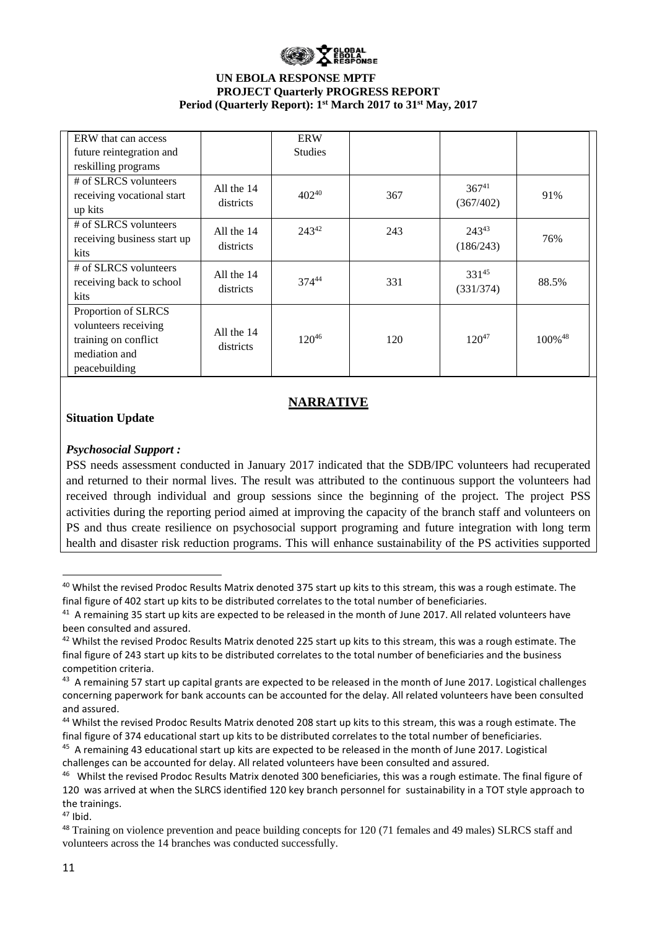

| ERW that can access                                                                                   |                         | <b>ERW</b>     |     |                         |                       |
|-------------------------------------------------------------------------------------------------------|-------------------------|----------------|-----|-------------------------|-----------------------|
| future reintegration and                                                                              |                         | <b>Studies</b> |     |                         |                       |
| reskilling programs                                                                                   |                         |                |     |                         |                       |
| # of SLRCS volunteers<br>receiving vocational start<br>up kits                                        | All the 14<br>districts | $402^{40}$     | 367 | $367^{41}$<br>(367/402) | 91%                   |
| # of SLRCS volunteers<br>receiving business start up<br>kits                                          | All the 14<br>districts | 24342          | 243 | $243^{43}$<br>(186/243) | 76%                   |
| # of SLRCS volunteers<br>receiving back to school<br>kits                                             | All the 14<br>districts | 37444          | 331 | $331^{45}$<br>(331/374) | 88.5%                 |
| Proportion of SLRCS<br>volunteers receiving<br>training on conflict<br>mediation and<br>peacebuilding | All the 14<br>districts | $120^{46}$     | 120 | $120^{47}$              | $100\%$ <sup>48</sup> |

# **NARRATIVE**

# **Situation Update**

# *Psychosocial Support :*

PSS needs assessment conducted in January 2017 indicated that the SDB/IPC volunteers had recuperated and returned to their normal lives. The result was attributed to the continuous support the volunteers had received through individual and group sessions since the beginning of the project. The project PSS activities during the reporting period aimed at improving the capacity of the branch staff and volunteers on PS and thus create resilience on psychosocial support programing and future integration with long term health and disaster risk reduction programs. This will enhance sustainability of the PS activities supported

<sup>44</sup> Whilst the revised Prodoc Results Matrix denoted 208 start up kits to this stream, this was a rough estimate. The final figure of 374 educational start up kits to be distributed correlates to the total number of beneficiaries.

<sup>45</sup> A remaining 43 educational start up kits are expected to be released in the month of June 2017. Logistical challenges can be accounted for delay. All related volunteers have been consulted and assured.

<sup>47</sup> Ibid.

<sup>&</sup>lt;sup>40</sup> Whilst the revised Prodoc Results Matrix denoted 375 start up kits to this stream, this was a rough estimate. The final figure of 402 start up kits to be distributed correlates to the total number of beneficiaries.

<sup>&</sup>lt;sup>41</sup> A remaining 35 start up kits are expected to be released in the month of June 2017. All related volunteers have been consulted and assured.

 $42$  Whilst the revised Prodoc Results Matrix denoted 225 start up kits to this stream, this was a rough estimate. The final figure of 243 start up kits to be distributed correlates to the total number of beneficiaries and the business competition criteria.

<sup>43</sup> A remaining 57 start up capital grants are expected to be released in the month of June 2017. Logistical challenges concerning paperwork for bank accounts can be accounted for the delay. All related volunteers have been consulted and assured.

<sup>&</sup>lt;sup>46</sup> Whilst the revised Prodoc Results Matrix denoted 300 beneficiaries, this was a rough estimate. The final figure of 120 was arrived at when the SLRCS identified 120 key branch personnel for sustainability in a TOT style approach to the trainings.

<sup>&</sup>lt;sup>48</sup> Training on violence prevention and peace building concepts for 120 (71 females and 49 males) SLRCS staff and volunteers across the 14 branches was conducted successfully.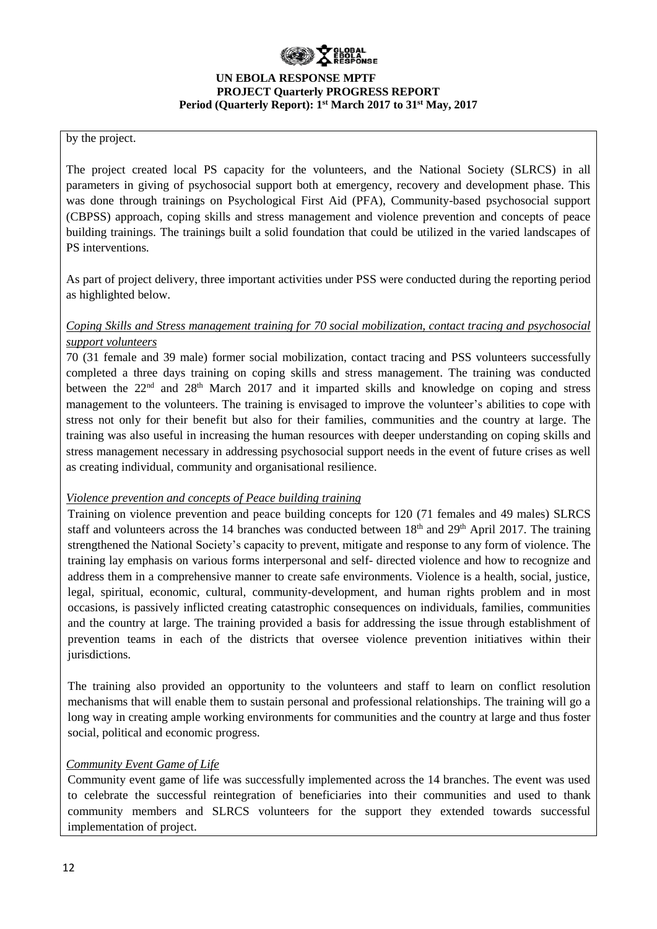

# by the project.

The project created local PS capacity for the volunteers, and the National Society (SLRCS) in all parameters in giving of psychosocial support both at emergency, recovery and development phase. This was done through trainings on Psychological First Aid (PFA), Community-based psychosocial support (CBPSS) approach, coping skills and stress management and violence prevention and concepts of peace building trainings. The trainings built a solid foundation that could be utilized in the varied landscapes of PS interventions.

As part of project delivery, three important activities under PSS were conducted during the reporting period as highlighted below.

# *Coping Skills and Stress management training for 70 social mobilization, contact tracing and psychosocial support volunteers*

70 (31 female and 39 male) former social mobilization, contact tracing and PSS volunteers successfully completed a three days training on coping skills and stress management. The training was conducted between the 22<sup>nd</sup> and 28<sup>th</sup> March 2017 and it imparted skills and knowledge on coping and stress management to the volunteers. The training is envisaged to improve the volunteer's abilities to cope with stress not only for their benefit but also for their families, communities and the country at large. The training was also useful in increasing the human resources with deeper understanding on coping skills and stress management necessary in addressing psychosocial support needs in the event of future crises as well as creating individual, community and organisational resilience.

#### *Violence prevention and concepts of Peace building training*

Training on violence prevention and peace building concepts for 120 (71 females and 49 males) SLRCS staff and volunteers across the 14 branches was conducted between  $18<sup>th</sup>$  and  $29<sup>th</sup>$  April 2017. The training strengthened the National Society's capacity to prevent, mitigate and response to any form of violence. The training lay emphasis on various forms interpersonal and self- directed violence and how to recognize and address them in a comprehensive manner to create safe environments. Violence is a health, social, justice, legal, spiritual, economic, cultural, community-development, and human rights problem and in most occasions, is passively inflicted creating catastrophic consequences on individuals, families, communities and the country at large. The training provided a basis for addressing the issue through establishment of prevention teams in each of the districts that oversee violence prevention initiatives within their jurisdictions.

The training also provided an opportunity to the volunteers and staff to learn on conflict resolution mechanisms that will enable them to sustain personal and professional relationships. The training will go a long way in creating ample working environments for communities and the country at large and thus foster social, political and economic progress.

# *Community Event Game of Life*

Community event game of life was successfully implemented across the 14 branches. The event was used to celebrate the successful reintegration of beneficiaries into their communities and used to thank community members and SLRCS volunteers for the support they extended towards successful implementation of project.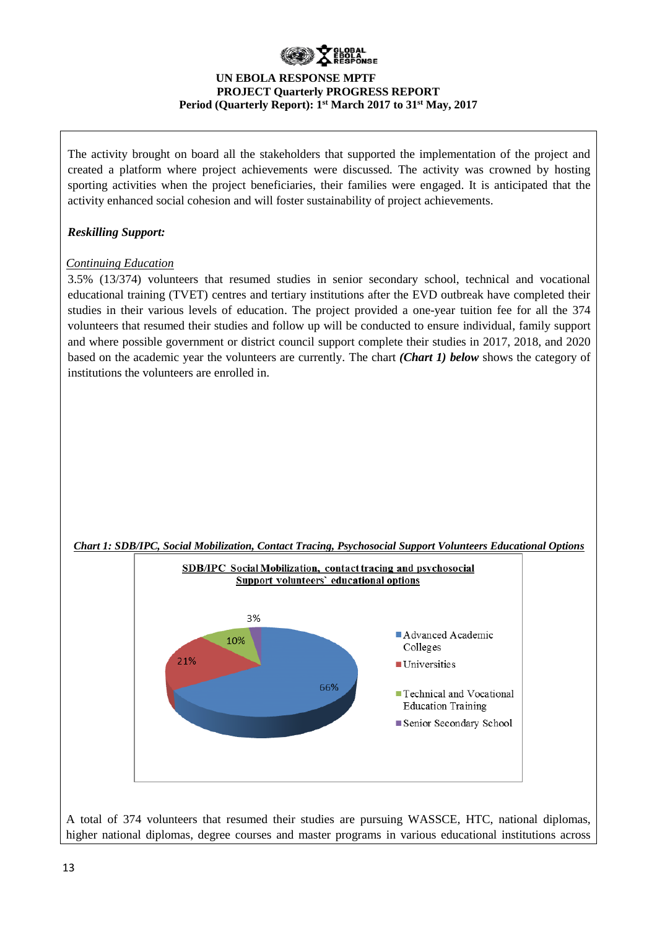

The activity brought on board all the stakeholders that supported the implementation of the project and created a platform where project achievements were discussed. The activity was crowned by hosting sporting activities when the project beneficiaries, their families were engaged. It is anticipated that the activity enhanced social cohesion and will foster sustainability of project achievements.

# *Reskilling Support:*

# *Continuing Education*

3.5% (13/374) volunteers that resumed studies in senior secondary school, technical and vocational educational training (TVET) centres and tertiary institutions after the EVD outbreak have completed their studies in their various levels of education. The project provided a one-year tuition fee for all the 374 volunteers that resumed their studies and follow up will be conducted to ensure individual, family support and where possible government or district council support complete their studies in 2017, 2018, and 2020 based on the academic year the volunteers are currently. The chart *(Chart 1) below* shows the category of institutions the volunteers are enrolled in.



*Chart 1: SDB/IPC, Social Mobilization, Contact Tracing, Psychosocial Support Volunteers Educational Options*

A total of 374 volunteers that resumed their studies are pursuing WASSCE, HTC, national diplomas, higher national diplomas, degree courses and master programs in various educational institutions across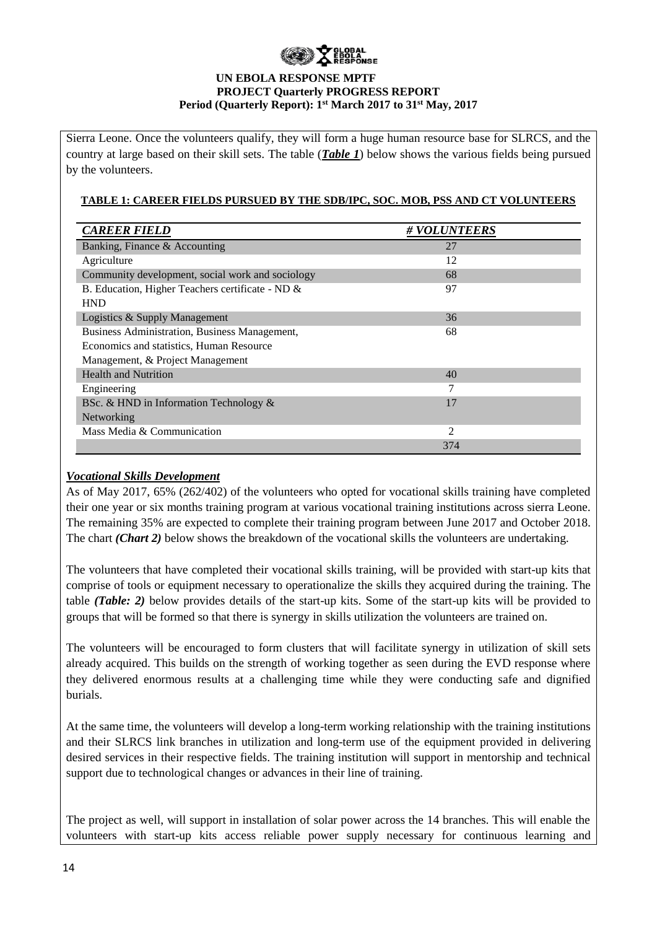

Sierra Leone. Once the volunteers qualify, they will form a huge human resource base for SLRCS, and the country at large based on their skill sets. The table (*Table 1*) below shows the various fields being pursued by the volunteers.

## **TABLE 1: CAREER FIELDS PURSUED BY THE SDB/IPC, SOC. MOB, PSS AND CT VOLUNTEERS**

| <b>CAREER FIELD</b>                              | # VOLUNTEERS |
|--------------------------------------------------|--------------|
| Banking, Finance & Accounting                    | 27           |
| Agriculture                                      | 12           |
| Community development, social work and sociology | 68           |
| B. Education, Higher Teachers certificate - ND & | 97           |
| <b>HND</b>                                       |              |
| Logistics & Supply Management                    | 36           |
| Business Administration, Business Management,    | 68           |
| Economics and statistics, Human Resource         |              |
| Management, & Project Management                 |              |
| <b>Health and Nutrition</b>                      | 40           |
| Engineering                                      | 7            |
| BSc. & HND in Information Technology &           | 17           |
| Networking                                       |              |
| Mass Media & Communication                       | 2            |
|                                                  | 374          |

# *Vocational Skills Development*

As of May 2017, 65% (262/402) of the volunteers who opted for vocational skills training have completed their one year or six months training program at various vocational training institutions across sierra Leone. The remaining 35% are expected to complete their training program between June 2017 and October 2018. The chart *(Chart 2)* below shows the breakdown of the vocational skills the volunteers are undertaking.

The volunteers that have completed their vocational skills training, will be provided with start-up kits that comprise of tools or equipment necessary to operationalize the skills they acquired during the training. The table *(Table: 2)* below provides details of the start-up kits. Some of the start-up kits will be provided to groups that will be formed so that there is synergy in skills utilization the volunteers are trained on.

The volunteers will be encouraged to form clusters that will facilitate synergy in utilization of skill sets already acquired. This builds on the strength of working together as seen during the EVD response where they delivered enormous results at a challenging time while they were conducting safe and dignified burials.

At the same time, the volunteers will develop a long-term working relationship with the training institutions and their SLRCS link branches in utilization and long-term use of the equipment provided in delivering desired services in their respective fields. The training institution will support in mentorship and technical support due to technological changes or advances in their line of training.

The project as well, will support in installation of solar power across the 14 branches. This will enable the volunteers with start-up kits access reliable power supply necessary for continuous learning and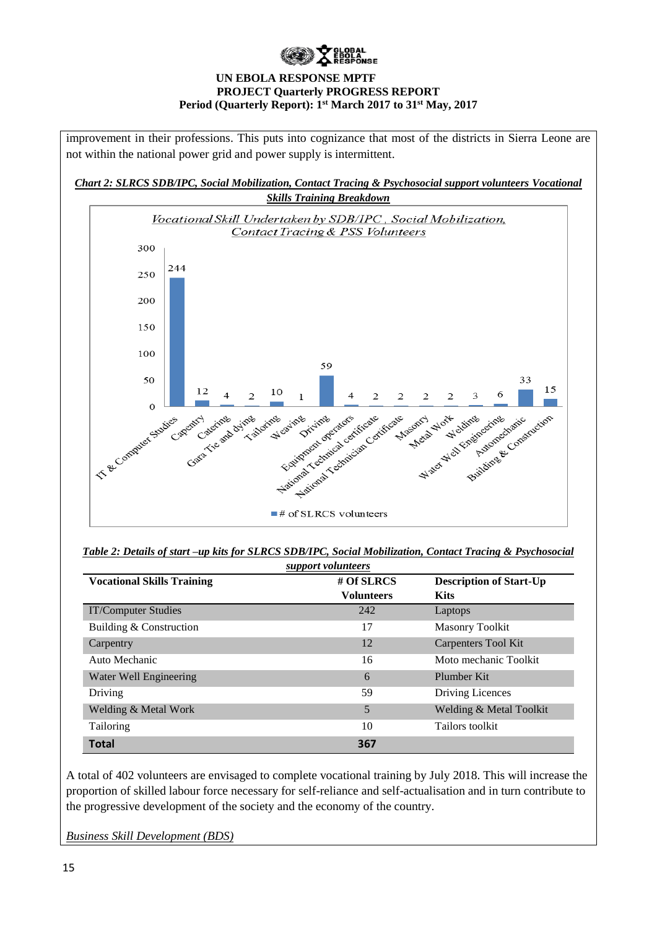

improvement in their professions. This puts into cognizance that most of the districts in Sierra Leone are not within the national power grid and power supply is intermittent.

*Chart 2: SLRCS SDB/IPC, Social Mobilization, Contact Tracing & Psychosocial support volunteers Vocational Skills Training Breakdown*



*Table 2: Details of start –up kits for SLRCS SDB/IPC, Social Mobilization, Contact Tracing & Psychosocial* 

| support volunteers                |                   |                                |  |
|-----------------------------------|-------------------|--------------------------------|--|
| <b>Vocational Skills Training</b> | $#$ Of SLRCS      | <b>Description of Start-Up</b> |  |
|                                   | <b>Volunteers</b> | <b>Kits</b>                    |  |
| <b>IT/Computer Studies</b>        | 242               | Laptops                        |  |
| Building & Construction           | 17                | <b>Masonry Toolkit</b>         |  |
| Carpentry                         | 12                | Carpenters Tool Kit            |  |
| Auto Mechanic                     | 16                | Moto mechanic Toolkit          |  |
| Water Well Engineering            | 6                 | Plumber Kit                    |  |
| Driving                           | 59                | Driving Licences               |  |
| Welding & Metal Work              | 5                 | Welding & Metal Toolkit        |  |
| Tailoring                         | 10                | Tailors toolkit                |  |
| <b>Total</b>                      | 367               |                                |  |

A total of 402 volunteers are envisaged to complete vocational training by July 2018. This will increase the proportion of skilled labour force necessary for self-reliance and self-actualisation and in turn contribute to the progressive development of the society and the economy of the country.

*Business Skill Development (BDS)*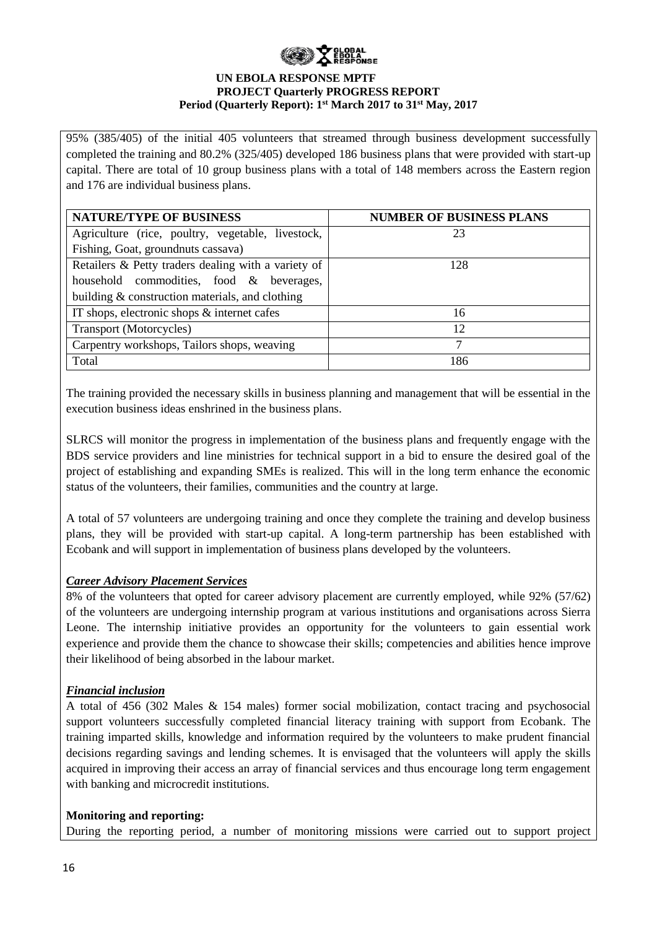95% (385/405) of the initial 405 volunteers that streamed through business development successfully completed the training and 80.2% (325/405) developed 186 business plans that were provided with start-up capital. There are total of 10 group business plans with a total of 148 members across the Eastern region and 176 are individual business plans.

| <b>NATURE/TYPE OF BUSINESS</b>                      | <b>NUMBER OF BUSINESS PLANS</b> |
|-----------------------------------------------------|---------------------------------|
| Agriculture (rice, poultry, vegetable, livestock,   | 23                              |
| Fishing, Goat, groundnuts cassava)                  |                                 |
| Retailers & Petty traders dealing with a variety of | 128                             |
| household commodities, food & beverages,            |                                 |
| building $&$ construction materials, and clothing   |                                 |
| IT shops, electronic shops & internet cafes         | 16                              |
| <b>Transport (Motorcycles)</b>                      | 12                              |
| Carpentry workshops, Tailors shops, weaving         |                                 |
| Total                                               | 186                             |

The training provided the necessary skills in business planning and management that will be essential in the execution business ideas enshrined in the business plans.

SLRCS will monitor the progress in implementation of the business plans and frequently engage with the BDS service providers and line ministries for technical support in a bid to ensure the desired goal of the project of establishing and expanding SMEs is realized. This will in the long term enhance the economic status of the volunteers, their families, communities and the country at large.

A total of 57 volunteers are undergoing training and once they complete the training and develop business plans, they will be provided with start-up capital. A long-term partnership has been established with Ecobank and will support in implementation of business plans developed by the volunteers.

# *Career Advisory Placement Services*

8% of the volunteers that opted for career advisory placement are currently employed, while 92% (57/62) of the volunteers are undergoing internship program at various institutions and organisations across Sierra Leone. The internship initiative provides an opportunity for the volunteers to gain essential work experience and provide them the chance to showcase their skills; competencies and abilities hence improve their likelihood of being absorbed in the labour market.

# *Financial inclusion*

A total of 456 (302 Males & 154 males) former social mobilization, contact tracing and psychosocial support volunteers successfully completed financial literacy training with support from Ecobank. The training imparted skills, knowledge and information required by the volunteers to make prudent financial decisions regarding savings and lending schemes. It is envisaged that the volunteers will apply the skills acquired in improving their access an array of financial services and thus encourage long term engagement with banking and microcredit institutions.

# **Monitoring and reporting:**

During the reporting period, a number of monitoring missions were carried out to support project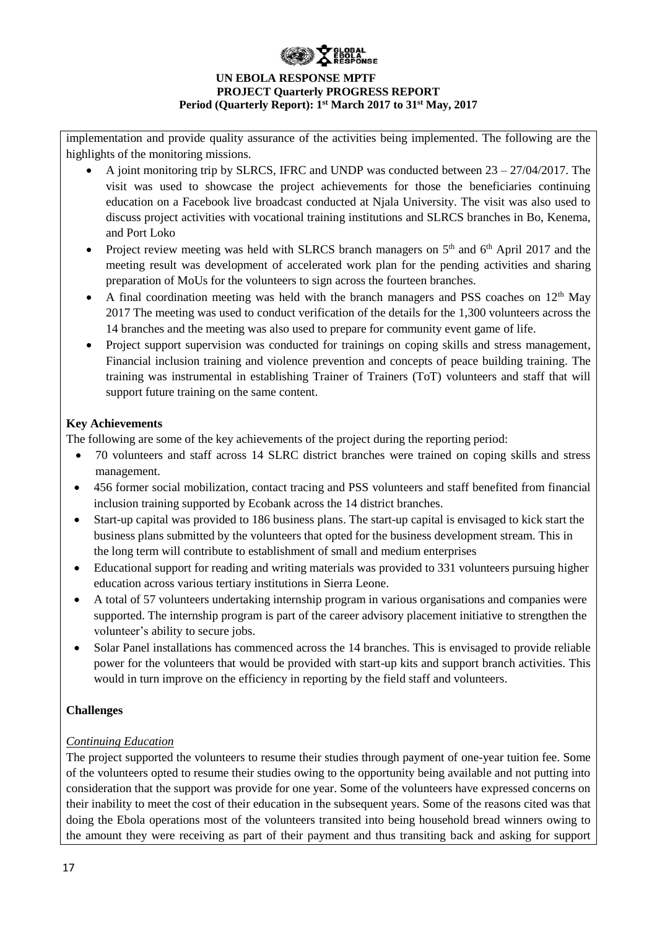

implementation and provide quality assurance of the activities being implemented. The following are the highlights of the monitoring missions.

- A joint monitoring trip by SLRCS, IFRC and UNDP was conducted between  $23 27/04/2017$ . The visit was used to showcase the project achievements for those the beneficiaries continuing education on a Facebook live broadcast conducted at Njala University. The visit was also used to discuss project activities with vocational training institutions and SLRCS branches in Bo, Kenema, and Port Loko
- Project review meeting was held with SLRCS branch managers on  $5<sup>th</sup>$  and  $6<sup>th</sup>$  April 2017 and the meeting result was development of accelerated work plan for the pending activities and sharing preparation of MoUs for the volunteers to sign across the fourteen branches.
- A final coordination meeting was held with the branch managers and PSS coaches on  $12<sup>th</sup>$  May 2017 The meeting was used to conduct verification of the details for the 1,300 volunteers across the 14 branches and the meeting was also used to prepare for community event game of life.
- Project support supervision was conducted for trainings on coping skills and stress management, Financial inclusion training and violence prevention and concepts of peace building training. The training was instrumental in establishing Trainer of Trainers (ToT) volunteers and staff that will support future training on the same content.

# **Key Achievements**

The following are some of the key achievements of the project during the reporting period:

- 70 volunteers and staff across 14 SLRC district branches were trained on coping skills and stress management.
- 456 former social mobilization, contact tracing and PSS volunteers and staff benefited from financial inclusion training supported by Ecobank across the 14 district branches.
- Start-up capital was provided to 186 business plans. The start-up capital is envisaged to kick start the business plans submitted by the volunteers that opted for the business development stream. This in the long term will contribute to establishment of small and medium enterprises
- Educational support for reading and writing materials was provided to 331 volunteers pursuing higher education across various tertiary institutions in Sierra Leone.
- A total of 57 volunteers undertaking internship program in various organisations and companies were supported. The internship program is part of the career advisory placement initiative to strengthen the volunteer's ability to secure jobs.
- Solar Panel installations has commenced across the 14 branches. This is envisaged to provide reliable power for the volunteers that would be provided with start-up kits and support branch activities. This would in turn improve on the efficiency in reporting by the field staff and volunteers.

# **Challenges**

# *Continuing Education*

The project supported the volunteers to resume their studies through payment of one-year tuition fee. Some of the volunteers opted to resume their studies owing to the opportunity being available and not putting into consideration that the support was provide for one year. Some of the volunteers have expressed concerns on their inability to meet the cost of their education in the subsequent years. Some of the reasons cited was that doing the Ebola operations most of the volunteers transited into being household bread winners owing to the amount they were receiving as part of their payment and thus transiting back and asking for support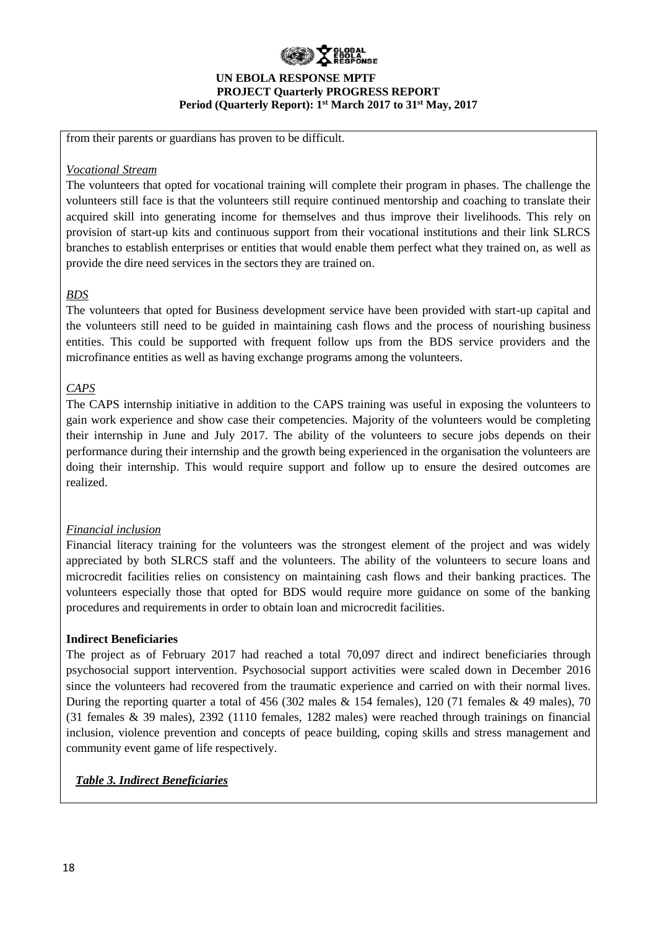

from their parents or guardians has proven to be difficult.

## *Vocational Stream*

The volunteers that opted for vocational training will complete their program in phases. The challenge the volunteers still face is that the volunteers still require continued mentorship and coaching to translate their acquired skill into generating income for themselves and thus improve their livelihoods. This rely on provision of start-up kits and continuous support from their vocational institutions and their link SLRCS branches to establish enterprises or entities that would enable them perfect what they trained on, as well as provide the dire need services in the sectors they are trained on.

# *BDS*

The volunteers that opted for Business development service have been provided with start-up capital and the volunteers still need to be guided in maintaining cash flows and the process of nourishing business entities. This could be supported with frequent follow ups from the BDS service providers and the microfinance entities as well as having exchange programs among the volunteers.

# *CAPS*

The CAPS internship initiative in addition to the CAPS training was useful in exposing the volunteers to gain work experience and show case their competencies. Majority of the volunteers would be completing their internship in June and July 2017. The ability of the volunteers to secure jobs depends on their performance during their internship and the growth being experienced in the organisation the volunteers are doing their internship. This would require support and follow up to ensure the desired outcomes are realized.

# *Financial inclusion*

Financial literacy training for the volunteers was the strongest element of the project and was widely appreciated by both SLRCS staff and the volunteers. The ability of the volunteers to secure loans and microcredit facilities relies on consistency on maintaining cash flows and their banking practices. The volunteers especially those that opted for BDS would require more guidance on some of the banking procedures and requirements in order to obtain loan and microcredit facilities.

# **Indirect Beneficiaries**

The project as of February 2017 had reached a total 70,097 direct and indirect beneficiaries through psychosocial support intervention. Psychosocial support activities were scaled down in December 2016 since the volunteers had recovered from the traumatic experience and carried on with their normal lives. During the reporting quarter a total of 456 (302 males & 154 females), 120 (71 females & 49 males), 70 (31 females & 39 males), 2392 (1110 females, 1282 males) were reached through trainings on financial inclusion, violence prevention and concepts of peace building, coping skills and stress management and community event game of life respectively.

# *Table 3. Indirect Beneficiaries*